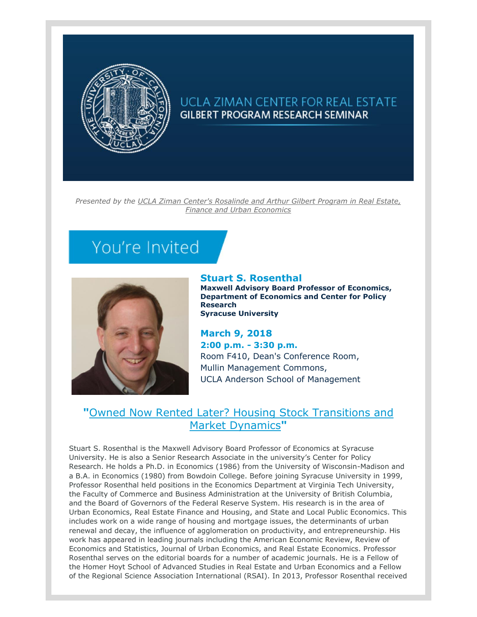

## UCLA ZIMAN CENTER FOR REAL ESTATE **GILBERT PROGRAM RESEARCH SEMINAR**

*Presented by the [UCLA Ziman Center's Rosalinde and Arthur Gilbert Program in Real Estate,](https://t.e2ma.net/click/acdc8/25ia3j/q4towl)  [Finance and Urban Economics](https://t.e2ma.net/click/acdc8/25ia3j/q4towl)*

## You're Invited



## **Stuart S. Rosenthal**

**Maxwell Advisory Board Professor of Economics, Department of Economics and Center for Policy Research Syracuse University**

**March 9, 2018 2:00 p.m. - 3:30 p.m.** Room F410, Dean's Conference Room, Mullin Management Commons, UCLA Anderson School of Management

## **"**[Owned Now Rented Later? Housing Stock Transitions and](https://t.e2ma.net/click/acdc8/25ia3j/mpvowl)  [Market Dynamics](https://t.e2ma.net/click/acdc8/25ia3j/mpvowl)**"**

Stuart S. Rosenthal is the Maxwell Advisory Board Professor of Economics at Syracuse University. He is also a Senior Research Associate in the university's Center for Policy Research. He holds a Ph.D. in Economics (1986) from the University of Wisconsin-Madison and a B.A. in Economics (1980) from Bowdoin College. Before joining Syracuse University in 1999, Professor Rosenthal held positions in the Economics Department at Virginia Tech University, the Faculty of Commerce and Business Administration at the University of British Columbia, and the Board of Governors of the Federal Reserve System. His research is in the area of Urban Economics, Real Estate Finance and Housing, and State and Local Public Economics. This includes work on a wide range of housing and mortgage issues, the determinants of urban renewal and decay, the influence of agglomeration on productivity, and entrepreneurship. His work has appeared in leading journals including the American Economic Review, Review of Economics and Statistics, Journal of Urban Economics, and Real Estate Economics. Professor Rosenthal serves on the editorial boards for a number of academic journals. He is a Fellow of the Homer Hoyt School of Advanced Studies in Real Estate and Urban Economics and a Fellow of the Regional Science Association International (RSAI). In 2013, Professor Rosenthal received